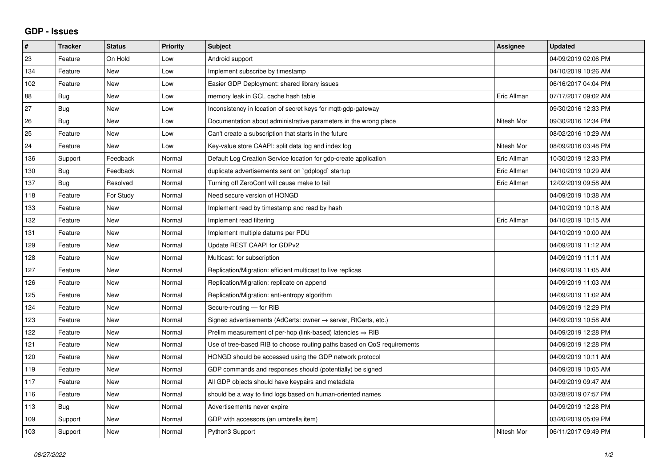## **GDP - Issues**

| $\sharp$ | Tracker    | <b>Status</b> | <b>Priority</b> | <b>Subject</b>                                                             | Assignee    | <b>Updated</b>      |
|----------|------------|---------------|-----------------|----------------------------------------------------------------------------|-------------|---------------------|
| 23       | Feature    | On Hold       | Low             | Android support                                                            |             | 04/09/2019 02:06 PM |
| 134      | Feature    | <b>New</b>    | Low             | Implement subscribe by timestamp                                           |             | 04/10/2019 10:26 AM |
| 102      | Feature    | <b>New</b>    | Low             | Easier GDP Deployment: shared library issues                               |             | 06/16/2017 04:04 PM |
| 88       | Bug        | <b>New</b>    | Low             | memory leak in GCL cache hash table                                        | Eric Allman | 07/17/2017 09:02 AM |
| 27       | <b>Bug</b> | <b>New</b>    | Low             | Inconsistency in location of secret keys for mqtt-gdp-gateway              |             | 09/30/2016 12:33 PM |
| 26       | <b>Bug</b> | <b>New</b>    | Low             | Documentation about administrative parameters in the wrong place           | Nitesh Mor  | 09/30/2016 12:34 PM |
| 25       | Feature    | New           | Low             | Can't create a subscription that starts in the future                      |             | 08/02/2016 10:29 AM |
| 24       | Feature    | New           | Low             | Key-value store CAAPI: split data log and index log                        | Nitesh Mor  | 08/09/2016 03:48 PM |
| 136      | Support    | Feedback      | Normal          | Default Log Creation Service location for gdp-create application           | Eric Allman | 10/30/2019 12:33 PM |
| 130      | Bug        | Feedback      | Normal          | duplicate advertisements sent on `gdplogd` startup                         | Eric Allman | 04/10/2019 10:29 AM |
| 137      | <b>Bug</b> | Resolved      | Normal          | Turning off ZeroConf will cause make to fail                               | Eric Allman | 12/02/2019 09:58 AM |
| 118      | Feature    | For Study     | Normal          | Need secure version of HONGD                                               |             | 04/09/2019 10:38 AM |
| 133      | Feature    | <b>New</b>    | Normal          | Implement read by timestamp and read by hash                               |             | 04/10/2019 10:18 AM |
| 132      | Feature    | <b>New</b>    | Normal          | Implement read filtering                                                   | Eric Allman | 04/10/2019 10:15 AM |
| 131      | Feature    | <b>New</b>    | Normal          | Implement multiple datums per PDU                                          |             | 04/10/2019 10:00 AM |
| 129      | Feature    | <b>New</b>    | Normal          | Update REST CAAPI for GDPv2                                                |             | 04/09/2019 11:12 AM |
| 128      | Feature    | <b>New</b>    | Normal          | Multicast: for subscription                                                |             | 04/09/2019 11:11 AM |
| 127      | Feature    | <b>New</b>    | Normal          | Replication/Migration: efficient multicast to live replicas                |             | 04/09/2019 11:05 AM |
| 126      | Feature    | <b>New</b>    | Normal          | Replication/Migration: replicate on append                                 |             | 04/09/2019 11:03 AM |
| 125      | Feature    | <b>New</b>    | Normal          | Replication/Migration: anti-entropy algorithm                              |             | 04/09/2019 11:02 AM |
| 124      | Feature    | <b>New</b>    | Normal          | Secure-routing - for RIB                                                   |             | 04/09/2019 12:29 PM |
| 123      | Feature    | <b>New</b>    | Normal          | Signed advertisements (AdCerts: owner $\rightarrow$ server, RtCerts, etc.) |             | 04/09/2019 10:58 AM |
| 122      | Feature    | <b>New</b>    | Normal          | Prelim measurement of per-hop (link-based) latencies $\Rightarrow$ RIB     |             | 04/09/2019 12:28 PM |
| 121      | Feature    | <b>New</b>    | Normal          | Use of tree-based RIB to choose routing paths based on QoS requirements    |             | 04/09/2019 12:28 PM |
| 120      | Feature    | <b>New</b>    | Normal          | HONGD should be accessed using the GDP network protocol                    |             | 04/09/2019 10:11 AM |
| 119      | Feature    | <b>New</b>    | Normal          | GDP commands and responses should (potentially) be signed                  |             | 04/09/2019 10:05 AM |
| 117      | Feature    | <b>New</b>    | Normal          | All GDP objects should have keypairs and metadata                          |             | 04/09/2019 09:47 AM |
| 116      | Feature    | <b>New</b>    | Normal          | should be a way to find logs based on human-oriented names                 |             | 03/28/2019 07:57 PM |
| 113      | Bug        | <b>New</b>    | Normal          | Advertisements never expire                                                |             | 04/09/2019 12:28 PM |
| 109      | Support    | <b>New</b>    | Normal          | GDP with accessors (an umbrella item)                                      |             | 03/20/2019 05:09 PM |
| 103      | Support    | New           | Normal          | Python3 Support                                                            | Nitesh Mor  | 06/11/2017 09:49 PM |